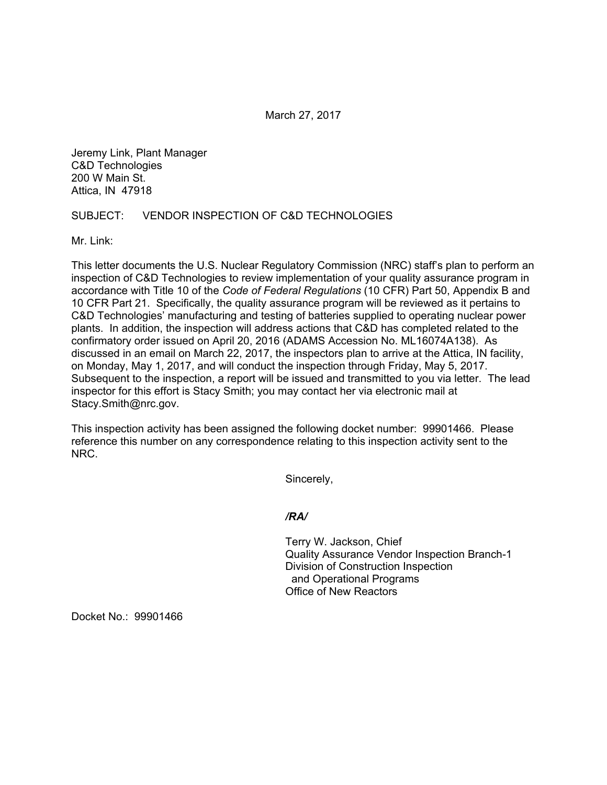March 27, 2017

Jeremy Link, Plant Manager C&D Technologies 200 W Main St. Attica, IN 47918

## SUBJECT: VENDOR INSPECTION OF C&D TECHNOLOGIES

Mr. Link:

This letter documents the U.S. Nuclear Regulatory Commission (NRC) staff's plan to perform an inspection of C&D Technologies to review implementation of your quality assurance program in accordance with Title 10 of the *Code of Federal Regulations* (10 CFR) Part 50, Appendix B and 10 CFR Part 21. Specifically, the quality assurance program will be reviewed as it pertains to C&D Technologies' manufacturing and testing of batteries supplied to operating nuclear power plants. In addition, the inspection will address actions that C&D has completed related to the confirmatory order issued on April 20, 2016 (ADAMS Accession No. ML16074A138). As discussed in an email on March 22, 2017, the inspectors plan to arrive at the Attica, IN facility, on Monday, May 1, 2017, and will conduct the inspection through Friday, May 5, 2017. Subsequent to the inspection, a report will be issued and transmitted to you via letter. The lead inspector for this effort is Stacy Smith; you may contact her via electronic mail at Stacy.Smith@nrc.gov.

This inspection activity has been assigned the following docket number: 99901466. Please reference this number on any correspondence relating to this inspection activity sent to the NRC.

Sincerely,

## */RA/*

Terry W. Jackson, Chief Quality Assurance Vendor Inspection Branch-1 Division of Construction Inspection and Operational Programs Office of New Reactors

Docket No.: 99901466